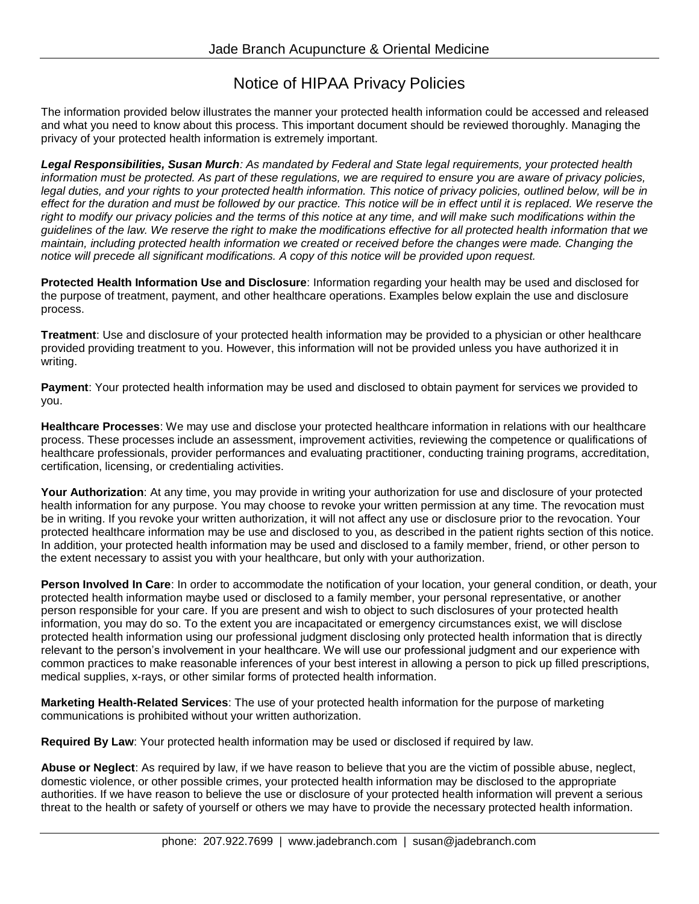## Notice of HIPAA Privacy Policies

The information provided below illustrates the manner your protected health information could be accessed and released and what you need to know about this process. This important document should be reviewed thoroughly. Managing the privacy of your protected health information is extremely important.

*Legal Responsibilities, Susan Murch: As mandated by Federal and State legal requirements, your protected health information must be protected. As part of these regulations, we are required to ensure you are aware of privacy policies,*  legal duties, and your rights to your protected health information. This notice of privacy policies, outlined below, will be in *effect for the duration and must be followed by our practice. This notice will be in effect until it is replaced. We reserve the*  right to modify our privacy policies and the terms of this notice at any time, and will make such modifications within the *guidelines of the law. We reserve the right to make the modifications effective for all protected health information that we maintain, including protected health information we created or received before the changes were made. Changing the notice will precede all significant modifications. A copy of this notice will be provided upon request.* 

**Protected Health Information Use and Disclosure**: Information regarding your health may be used and disclosed for the purpose of treatment, payment, and other healthcare operations. Examples below explain the use and disclosure process.

**Treatment**: Use and disclosure of your protected health information may be provided to a physician or other healthcare provided providing treatment to you. However, this information will not be provided unless you have authorized it in writing.

**Payment**: Your protected health information may be used and disclosed to obtain payment for services we provided to you.

**Healthcare Processes**: We may use and disclose your protected healthcare information in relations with our healthcare process. These processes include an assessment, improvement activities, reviewing the competence or qualifications of healthcare professionals, provider performances and evaluating practitioner, conducting training programs, accreditation, certification, licensing, or credentialing activities.

**Your Authorization**: At any time, you may provide in writing your authorization for use and disclosure of your protected health information for any purpose. You may choose to revoke your written permission at any time. The revocation must be in writing. If you revoke your written authorization, it will not affect any use or disclosure prior to the revocation. Your protected healthcare information may be use and disclosed to you, as described in the patient rights section of this notice. In addition, your protected health information may be used and disclosed to a family member, friend, or other person to the extent necessary to assist you with your healthcare, but only with your authorization.

**Person Involved In Care**: In order to accommodate the notification of your location, your general condition, or death, your protected health information maybe used or disclosed to a family member, your personal representative, or another person responsible for your care. If you are present and wish to object to such disclosures of your protected health information, you may do so. To the extent you are incapacitated or emergency circumstances exist, we will disclose protected health information using our professional judgment disclosing only protected health information that is directly relevant to the person's involvement in your healthcare. We will use our professional judgment and our experience with common practices to make reasonable inferences of your best interest in allowing a person to pick up filled prescriptions, medical supplies, x-rays, or other similar forms of protected health information.

**Marketing Health-Related Services**: The use of your protected health information for the purpose of marketing communications is prohibited without your written authorization.

**Required By Law**: Your protected health information may be used or disclosed if required by law.

**Abuse or Neglect**: As required by law, if we have reason to believe that you are the victim of possible abuse, neglect, domestic violence, or other possible crimes, your protected health information may be disclosed to the appropriate authorities. If we have reason to believe the use or disclosure of your protected health information will prevent a serious threat to the health or safety of yourself or others we may have to provide the necessary protected health information.